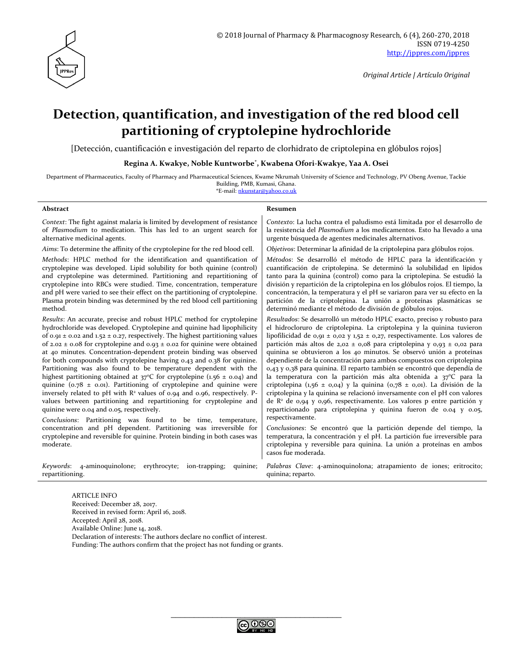

# **Detection, quantification, and investigation of the red blood cell partitioning of cryptolepine hydrochloride**

[Detección, cuantificación e investigación del reparto de clorhidrato de criptolepina en glóbulos rojos]

**Regina A. Kwakye, Noble Kuntworbe\* , Kwabena Ofori-Kwakye, Yaa A. Osei**

Department of Pharmaceutics, Faculty of Pharmacy and Pharmaceutical Sciences, Kwame Nkrumah University of Science and Technology, PV Obeng Avenue, Tackie Building, PMB, Kumasi, Ghana. \*E-mail: [nkunstar@yahoo.co.uk](mailto:nkunstar@yahoo.co.uk)

#### **Abstract Resumen**

respectivamente.

*Context*: The fight against malaria is limited by development of resistance of *Plasmodium* to medication. This has led to an urgent search for alternative medicinal agents.

*Aims*: To determine the affinity of the cryptolepine for the red blood cell.

*Methods*: HPLC method for the identification and quantification of cryptolepine was developed. Lipid solubility for both quinine (control) and cryptolepine was determined. Partitioning and repartitioning of cryptolepine into RBCs were studied. Time, concentration, temperature and pH were varied to see their effect on the partitioning of cryptolepine. Plasma protein binding was determined by the red blood cell partitioning method.

*Results*: An accurate, precise and robust HPLC method for cryptolepine hydrochloride was developed. Cryptolepine and quinine had lipophilicity of 0.91  $\pm$  0.02 and 1.52  $\pm$  0.27, respectively. The highest partitioning values of 2.02  $\pm$  0.08 for cryptolepine and 0.93  $\pm$  0.02 for quinine were obtained at 40 minutes. Concentration-dependent protein binding was observed for both compounds with cryptolepine having 0.43 and 0.38 for quinine. Partitioning was also found to be temperature dependent with the highest partitioning obtained at  $37^{\circ}$ C for cryptolepine (1.56 ± 0.04) and quinine ( $0.78 \pm 0.01$ ). Partitioning of cryptolepine and quinine were inversely related to pH with  $R^2$  values of 0.94 and 0.96, respectively. Pvalues between partitioning and repartitioning for cryptolepine and quinine were 0.04 and 0.05, respectively.

*Conclusions*: Partitioning was found to be time, temperature, concentration and pH dependent. Partitioning was irreversible for cryptolepine and reversible for quinine. Protein binding in both cases was moderate.

*Keywords*: 4-aminoquinolone; erythrocyte; ion-trapping; quinine; repartitioning.

temperatura, la concentración y el pH. La partición fue irreversible para criptolepina y reversible para quinina. La unión a proteínas en ambos casos fue moderada.

*Conclusiones*: Se encontró que la partición depende del tiempo, la

*Contexto*: La lucha contra el paludismo está limitada por el desarrollo de la resistencia del *Plasmodium* a los medicamentos. Esto ha llevado a una

*Objetivos*: Determinar la afinidad de la criptolepina para glóbulos rojos. *Métodos*: Se desarrolló el método de HPLC para la identificación y cuantificación de criptolepina. Se determinó la solubilidad en lípidos tanto para la quinina (control) como para la criptolepina. Se estudió la división y repartición de la criptolepina en los glóbulos rojos. El tiempo, la concentración, la temperatura y el pH se variaron para ver su efecto en la partición de la criptolepina. La unión a proteínas plasmáticas se

*Resultados*: Se desarrolló un método HPLC exacto, preciso y robusto para el hidrocloruro de criptolepina. La criptolepina y la quinina tuvieron lipofilicidad de 0,91 ± 0,02 y 1,52 ± 0,27, respectivamente. Los valores de partición más altos de 2,02 ± 0,08 para criptolepina y 0,93 ± 0,02 para quinina se obtuvieron a los 40 minutos. Se observó unión a proteínas dependiente de la concentración para ambos compuestos con criptolepina 0,43 y 0,38 para quinina. El reparto también se encontró que dependía de la temperatura con la partición más alta obtenida a 37°C para la criptolepina (1,56 ± 0,04) y la quinina (0,78 ± 0,01). La división de la criptolepina y la quinina se relacionó inversamente con el pH con valores de R<sup>2</sup> de 0,94 y 0,96, respectivamente. Los valores p entre partición y reparticionado para criptolepina y quinina fueron de 0.04 y 0.05,

urgente búsqueda de agentes medicinales alternativos.

determinó mediante el método de división de glóbulos rojos.

*Palabras Clave*: 4-aminoquinolona; atrapamiento de iones; eritrocito; quinina; reparto.

ARTICLE INFO Received: December 28, 2017. Received in revised form: April 16, 2018. Accepted: April 28, 2018. Available Online: June 14, 2018. Declaration of interests: The authors declare no conflict of interest. Funding: The authors confirm that the project has not funding or grants.

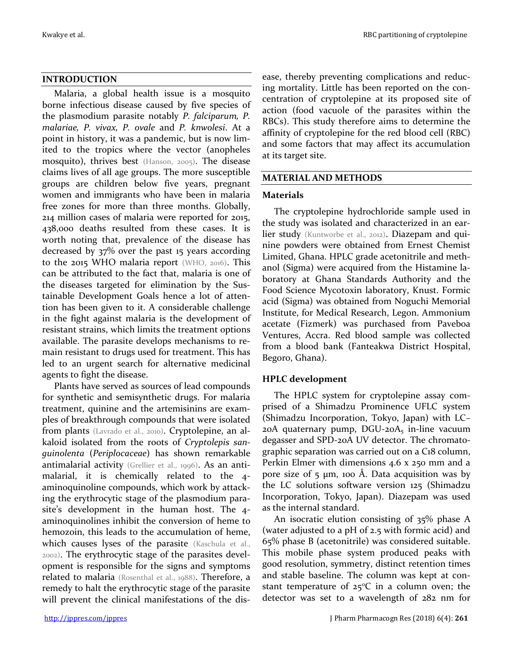# **INTRODUCTION**

Malaria, a global health issue is a mosquito borne infectious disease caused by five species of the plasmodium parasite notably *P. falciparum, P. malariae, P. vivax, P. ovale* and *P. knwolesi*. At a point in history, it was a pandemic, but is now limited to the tropics where the vector (anopheles mosquito), thrives best (Hanson, 2005). The disease claims lives of all age groups. The more susceptible groups are children below five years, pregnant women and immigrants who have been in malaria free zones for more than three months. Globally, 214 million cases of malaria were reported for 2015, 438,000 deaths resulted from these cases. It is worth noting that, prevalence of the disease has decreased by 37% over the past 15 years according to the 2015 WHO malaria report (WHO, 2016). This can be attributed to the fact that, malaria is one of the diseases targeted for elimination by the Sustainable Development Goals hence a lot of attention has been given to it. A considerable challenge in the fight against malaria is the development of resistant strains, which limits the treatment options available. The parasite develops mechanisms to remain resistant to drugs used for treatment. This has led to an urgent search for alternative medicinal agents to fight the disease.

Plants have served as sources of lead compounds for synthetic and semisynthetic drugs. For malaria treatment, quinine and the artemisinins are examples of breakthrough compounds that were isolated from plants (Lavrado et al., 2010). Cryptolepine, an alkaloid isolated from the roots of *Cryptolepis sanguinolenta* (*Periplocaceae*) has shown remarkable antimalarial activity (Grellier et al., 1996). As an antimalarial, it is chemically related to the 4 aminoquinoline compounds, which work by attacking the erythrocytic stage of the plasmodium parasite's development in the human host. The 4 aminoquinolines inhibit the conversion of heme to hemozoin, this leads to the accumulation of heme, which causes lyses of the parasite (Kaschula et al., 2002). The erythrocytic stage of the parasites development is responsible for the signs and symptoms related to malaria (Rosenthal et al., 1988). Therefore, a remedy to halt the erythrocytic stage of the parasite will prevent the clinical manifestations of the disease, thereby preventing complications and reducing mortality. Little has been reported on the concentration of cryptolepine at its proposed site of action (food vacuole of the parasites within the RBCs). This study therefore aims to determine the affinity of cryptolepine for the red blood cell (RBC) and some factors that may affect its accumulation at its target site.

# **MATERIAL AND METHODS**

# **Materials**

The cryptolepine hydrochloride sample used in the study was isolated and characterized in an earlier study (Kuntworbe et al., 2012). Diazepam and quinine powders were obtained from Ernest Chemist Limited, Ghana. HPLC grade acetonitrile and methanol (Sigma) were acquired from the Histamine laboratory at Ghana Standards Authority and the Food Science Mycotoxin laboratory, Knust. Formic acid (Sigma) was obtained from Noguchi Memorial Institute, for Medical Research, Legon. Ammonium acetate (Fizmerk) was purchased from Paveboa Ventures, Accra. Red blood sample was collected from a blood bank (Fanteakwa District Hospital, Begoro, Ghana).

# **HPLC development**

The HPLC system for cryptolepine assay comprised of a Shimadzu Prominence UFLC system (Shimadzu Incorporation, Tokyo, Japan) with LC– 20A quaternary pump,  $DGU$ -20A<sub>5</sub> in-line vacuum degasser and SPD-20A UV detector. The chromatographic separation was carried out on a C18 column, Perkin Elmer with dimensions 4.6 x 250 mm and a pore size of  $\frac{1}{2}$  µm, 100 Å. Data acquisition was by the LC solutions software version 125 (Shimadzu Incorporation, Tokyo, Japan). Diazepam was used as the internal standard.

An isocratic elution consisting of 35% phase A (water adjusted to a pH of 2.5 with formic acid) and 65% phase B (acetonitrile) was considered suitable. This mobile phase system produced peaks with good resolution, symmetry, distinct retention times and stable baseline. The column was kept at constant temperature of  $25^{\circ}C$  in a column oven; the detector was set to a wavelength of 282 nm for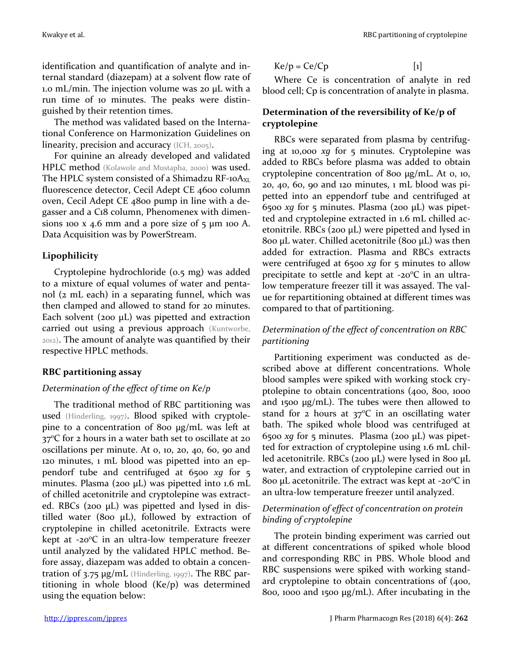identification and quantification of analyte and internal standard (diazepam) at a solvent flow rate of 1.0 mL/min. The injection volume was 20 µL with a run time of 10 minutes. The peaks were distinguished by their retention times.

The method was validated based on the International Conference on Harmonization Guidelines on linearity, precision and accuracy (ICH, 2005).

For quinine an already developed and validated HPLC method (Kolawole and Mustapha, 2000) was used. The HPLC system consisted of a Shimadzu RF-10 $A_{XL}$ fluorescence detector, Cecil Adept CE 4600 column oven, Cecil Adept CE 4800 pump in line with a degasser and a C18 column, Phenomenex with dimensions 100 x 4.6 mm and a pore size of  $\frac{1}{2} \mu$ m 100 A. Data Acquisition was by PowerStream.

# **Lipophilicity**

Cryptolepine hydrochloride (0.5 mg) was added to a mixture of equal volumes of water and pentanol (2 mL each) in a separating funnel, which was then clamped and allowed to stand for 20 minutes. Each solvent (200  $\mu$ L) was pipetted and extraction carried out using a previous approach (Kuntworbe, 2012). The amount of analyte was quantified by their respective HPLC methods.

# **RBC partitioning assay**

# *Determination of the effect of time on Ke/p*

The traditional method of RBC partitioning was used (Hinderling, 1997). Blood spiked with cryptolepine to a concentration of 800 µg/mL was left at  $37^{\circ}$ C for 2 hours in a water bath set to oscillate at 20 oscillations per minute. At 0, 10, 20, 40, 60, 90 and 120 minutes, 1 mL blood was pipetted into an eppendorf tube and centrifuged at 6500 *xg* for 5 minutes. Plasma (200 µL) was pipetted into 1.6 mL of chilled acetonitrile and cryptolepine was extracted. RBCs (200 µL) was pipetted and lysed in distilled water (800  $\mu$ L), followed by extraction of cryptolepine in chilled acetonitrile. Extracts were kept at  $-20^{\circ}$ C in an ultra-low temperature freezer until analyzed by the validated HPLC method. Before assay, diazepam was added to obtain a concentration of 3.75 µg/mL (Hinderling, 1997). The RBC partitioning in whole blood (Ke/p) was determined using the equation below:

$$
Ke/p = Ce/Cp
$$
 [1]

Where Ce is concentration of analyte in red blood cell; Cp is concentration of analyte in plasma.

# **Determination of the reversibility of Ke/p of cryptolepine**

RBCs were separated from plasma by centrifuging at 10,000 *xg* for 5 minutes. Cryptolepine was added to RBCs before plasma was added to obtain cryptolepine concentration of 800 µg/mL. At 0, 10, 20, 40, 60, 90 and 120 minutes, 1 mL blood was pipetted into an eppendorf tube and centrifuged at 6500 *xg* for 5 minutes. Plasma (200 µL) was pipetted and cryptolepine extracted in 1.6 mL chilled acetonitrile. RBCs (200  $\mu$ L) were pipetted and lysed in 800 µL water. Chilled acetonitrile (800 µL) was then added for extraction. Plasma and RBCs extracts were centrifuged at 6500 *xg* for 5 minutes to allow precipitate to settle and kept at  $-20^{\circ}$ C in an ultralow temperature freezer till it was assayed. The value for repartitioning obtained at different times was compared to that of partitioning.

# *Determination of the effect of concentration on RBC partitioning*

Partitioning experiment was conducted as described above at different concentrations. Whole blood samples were spiked with working stock cryptolepine to obtain concentrations (400, 800, 1000 and 1500 μg/mL). The tubes were then allowed to stand for  $2$  hours at  $37^{\circ}$ C in an oscillating water bath. The spiked whole blood was centrifuged at 6500 *xg* for 5 minutes. Plasma (200 µL) was pipetted for extraction of cryptolepine using 1.6 mL chilled acetonitrile. RBCs (200 µL) were lysed in 800 µL water, and extraction of cryptolepine carried out in 800 µL acetonitrile. The extract was kept at -20 $\rm ^{o}C$  in an ultra-low temperature freezer until analyzed.

# *Determination of effect of concentration on protein binding of cryptolepine*

The protein binding experiment was carried out at different concentrations of spiked whole blood and corresponding RBC in PBS. Whole blood and RBC suspensions were spiked with working standard cryptolepine to obtain concentrations of (400, 800, 1000 and 1500 μg/mL). After incubating in the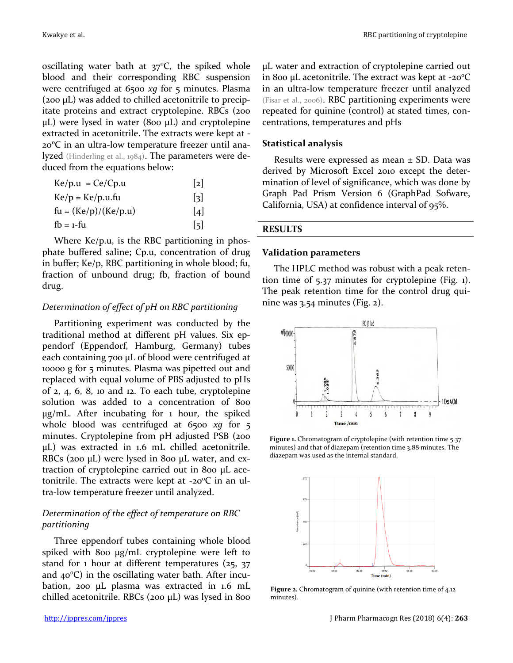Kwakye et al. **RBC** partitioning of cryptolepine

oscillating water bath at  $37^{\circ}$ C, the spiked whole blood and their corresponding RBC suspension were centrifuged at 6500 *xg* for 5 minutes. Plasma (200 µL) was added to chilled acetonitrile to precipitate proteins and extract cryptolepine. RBCs (200  $\mu$ L) were lysed in water (800  $\mu$ L) and cryptolepine extracted in acetonitrile. The extracts were kept at - 200C in an ultra-low temperature freezer until analyzed (Hinderling et al., 1984). The parameters were deduced from the equations below:

| $Ke/p.u = Ce/Cp.u$     | 2                 |
|------------------------|-------------------|
| $Ke/p = Ke/p.u.fu$     | 3                 |
| $fu = (Ke/p)/(Ke/p.u)$ | $\vert 4 \vert$   |
| $fb = 1-fu$            | $\lceil 5 \rceil$ |

Where Ke/p.u, is the RBC partitioning in phosphate buffered saline; Cp.u, concentration of drug in buffer; Ke/p, RBC partitioning in whole blood; fu, fraction of unbound drug; fb, fraction of bound drug.

# *Determination of effect of pH on RBC partitioning*

Partitioning experiment was conducted by the traditional method at different pH values. Six eppendorf (Eppendorf, Hamburg, Germany) tubes each containing 700 µL of blood were centrifuged at 10000 g for 5 minutes. Plasma was pipetted out and replaced with equal volume of PBS adjusted to pHs of 2, 4, 6, 8, 10 and 12. To each tube, cryptolepine solution was added to a concentration of 800 µg/mL. After incubating for 1 hour, the spiked whole blood was centrifuged at 6500 *xg* for 5 minutes. Cryptolepine from pH adjusted PSB (200 µL) was extracted in 1.6 mL chilled acetonitrile. RBCs (200 µL) were lysed in 800 µL water, and extraction of cryptolepine carried out in 800 µL acetonitrile. The extracts were kept at  $-20^{\circ}C$  in an ultra-low temperature freezer until analyzed.

# *Determination of the effect of temperature on RBC partitioning*

Three eppendorf tubes containing whole blood spiked with 800 µg/mL cryptolepine were left to stand for 1 hour at different temperatures (25, 37 and  $40^{\circ}$ C) in the oscillating water bath. After incubation, 200 µL plasma was extracted in 1.6 mL chilled acetonitrile. RBCs (200  $\mu$ L) was lysed in 800 µL water and extraction of cryptolepine carried out in 800 µL acetonitrile. The extract was kept at  $-20^{\circ}C$ in an ultra-low temperature freezer until analyzed (Fisar et al., 2006). RBC partitioning experiments were repeated for quinine (control) at stated times, concentrations, temperatures and pHs

# **Statistical analysis**

Results were expressed as mean  $\pm$  SD. Data was derived by Microsoft Excel 2010 except the determination of level of significance, which was done by Graph Pad Prism Version 6 (GraphPad Sofware, California, USA) at confidence interval of 95%.

# **RESULTS**

### **Validation parameters**

The HPLC method was robust with a peak retention time of 5.37 minutes for cryptolepine (Fig. 1). The peak retention time for the control drug quinine was 3.54 minutes (Fig. 2).



**Figure 1.** Chromatogram of cryptolepine (with retention time 5.37 minutes) and that of diazepam (retention time 3.88 minutes. The diazepam was used as the internal standard.



**Figure 2.** Chromatogram of quinine (with retention time of 4.12 minutes).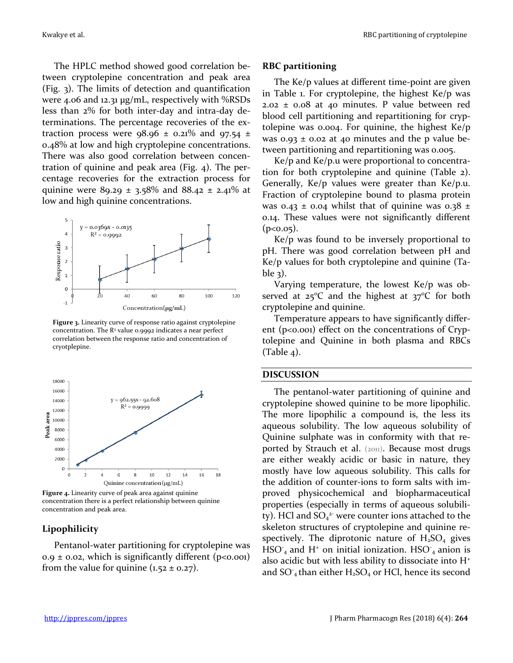The HPLC method showed good correlation between cryptolepine concentration and peak area (Fig. 3). The limits of detection and quantification were 4.06 and 12.31 µg/mL, respectively with %RSDs less than 2% for both inter-day and intra-day determinations. The percentage recoveries of the extraction process were  $98.96 \pm 0.21\%$  and  $97.54 \pm 1.25$ 0.48% at low and high cryptolepine concentrations. There was also good correlation between concentration of quinine and peak area (Fig. 4). The percentage recoveries for the extraction process for quinine were 89.29  $\pm$  3.58% and 88.42  $\pm$  2.41% at low and high quinine concentrations.



**Figure 3.** Linearity curve of response ratio against cryptolepine concentration. The  $R<sup>2</sup>$  value 0.9992 indicates a near perfect correlation between the response ratio and concentration of cryotplepine.



**Figure 4.** Linearity curve of peak area against quinine concentration there is a perfect relationship between quinine concentration and peak area.

#### **Lipophilicity**

Pentanol-water partitioning for cryptolepine was  $0.9 \pm 0.02$ , which is significantly different (p<0.001) from the value for quinine  $(1.52 \pm 0.27)$ .

#### **RBC partitioning**

The Ke/p values at different time-point are given in Table 1. For cryptolepine, the highest Ke/p was  $2.02 \pm 0.08$  at 40 minutes. P value between red blood cell partitioning and repartitioning for cryptolepine was 0.004. For quinine, the highest Ke/p was  $0.93 \pm 0.02$  at 40 minutes and the p value between partitioning and repartitioning was 0.005.

Ke/p and Ke/p.u were proportional to concentration for both cryptolepine and quinine (Table 2). Generally, Ke/p values were greater than Ke/p.u. Fraction of cryptolepine bound to plasma protein was 0.43  $\pm$  0.04 whilst that of quinine was 0.38  $\pm$ 0.14. These values were not significantly different  $(p<0.05)$ .

Ke/p was found to be inversely proportional to pH. There was good correlation between pH and Ke/p values for both cryptolepine and quinine (Table 3).

Varying temperature, the lowest Ke/p was observed at  $25^{\circ}$ C and the highest at  $37^{\circ}$ C for both cryptolepine and quinine.

Temperature appears to have significantly different ( $p<sub>0.001</sub>$ ) effect on the concentrations of Cryptolepine and Quinine in both plasma and RBCs (Table 4).

#### **DISCUSSION**

The pentanol-water partitioning of quinine and cryptolepine showed quinine to be more lipophilic. The more lipophilic a compound is, the less its aqueous solubility. The low aqueous solubility of Quinine sulphate was in conformity with that reported by Strauch et al. (2011). Because most drugs are either weakly acidic or basic in nature, they mostly have low aqueous solubility. This calls for the addition of counter-ions to form salts with improved physicochemical and biopharmaceutical properties (especially in terms of aqueous solubility). HCl and  $SO_4^2$  were counter ions attached to the skeleton structures of cryptolepine and quinine respectively. The diprotonic nature of  $H_2SO_4$  gives  $HSO<sub>4</sub>$  and H<sup>+</sup> on initial ionization. HSO<sub>4</sub> anion is also acidic but with less ability to dissociate into  $H^+$ and  $SO_4$  than either  $H_2SO_4$  or HCl, hence its second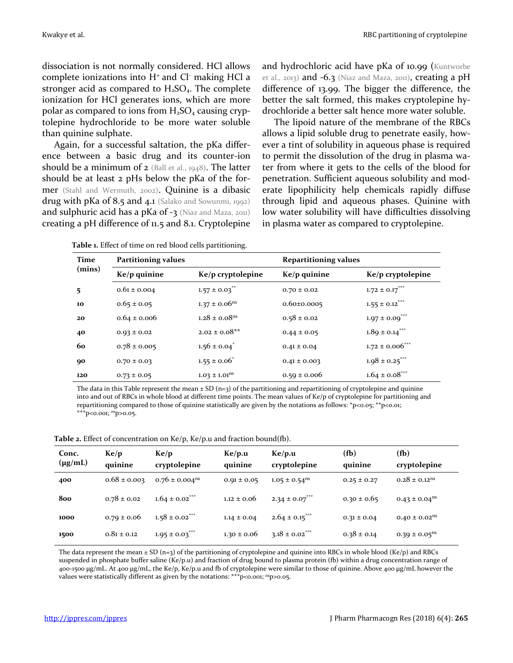dissociation is not normally considered. HCl allows complete ionizations into  $H^+$  and  $Cl^-$  making  $HCl$  a stronger acid as compared to  $H_2SO_4$ . The complete ionization for HCl generates ions, which are more polar as compared to ions from  $H_2SO_4$  causing cryptolepine hydrochloride to be more water soluble than quinine sulphate.

Again, for a successful saltation, the pKa difference between a basic drug and its counter-ion should be a minimum of 2 (Ball et al., 1948). The latter should be at least 2 pHs below the pKa of the former (Stahl and Wermuth, 2002). Quinine is a dibasic drug with pKa of 8.5 and 4.1 (Salako and Sowunmi, 1992) and sulphuric acid has a pKa of  $-3$  (Niaz and Maza, 2011) creating a pH difference of 11.5 and 8.1. Cryptolepine and hydrochloric acid have pKa of 10.99 (Kuntworbe et al., 2013) and -6.3 (Niaz and Maza, 2011), creating a pH difference of 13.99. The bigger the difference, the better the salt formed, this makes cryptolepine hydrochloride a better salt hence more water soluble.

The lipoid nature of the membrane of the RBCs allows a lipid soluble drug to penetrate easily, however a tint of solubility in aqueous phase is required to permit the dissolution of the drug in plasma water from where it gets to the cells of the blood for penetration. Sufficient aqueous solubility and moderate lipophilicity help chemicals rapidly diffuse through lipid and aqueous phases. Quinine with low water solubility will have difficulties dissolving in plasma water as compared to cryptolepine.

| Time   | <b>Partitioning values</b> |                               | <b>Repartitioning values</b> |                                |
|--------|----------------------------|-------------------------------|------------------------------|--------------------------------|
| (mins) | $Ke/p$ quinine             | Ke/p cryptolepine             | $Ke/p$ quinine               | $Ke/p$ cryptolepine            |
| 5      | $0.61 \pm 0.004$           | $1.57 \pm 0.03$ <sup>**</sup> | $0.70 \pm 0.02$              | $1.72 \pm 0.17$ ***            |
| 10     | $0.65 \pm 0.05$            | $1.37 \pm 0.06$ <sup>ns</sup> | $0.60 \pm 0.0005$            | $1.55 \pm 0.12$ ***            |
| 20     | $0.64 \pm 0.006$           | $1.28 \pm 0.08$ <sup>ns</sup> | $0.58 \pm 0.02$              | $1.97 \pm 0.09$ <sup>***</sup> |
| 40     | $0.93 \pm 0.02$            | $2.02 \pm 0.08**$             | $0.44 \pm 0.05$              | $1.89 \pm 0.14$ ***            |
| 60     | $0.78 \pm 0.005$           | $1.56 \pm 0.04^{\degree}$     | $0.41 \pm 0.04$              | $1.72 \pm 0.006$ ***           |
| 90     | $0.70 \pm 0.03$            | $1.55 \pm 0.06^*$             | $0.41 \pm 0.003$             | $1.98 \pm 0.25$ ***            |
| 120    | $0.73 \pm 0.05$            | $1.03 \pm 1.01$ <sup>ns</sup> | $0.59 \pm 0.006$             | $1.64 \pm 0.08$ ***            |

**Table 1.** Effect of time on red blood cells partitioning.

The data in this Table represent the mean  $\pm$  SD (n=3) of the partitioning and repartitioning of cryptolepine and quinine into and out of RBCs in whole blood at different time points. The mean values of Ke/p of cryptolepine for partitioning and repartitioning compared to those of quinine statistically are given by the notations as follows: \*p<0.05; \*\*p<0.01; \*\*\*p<0.001; nsp>0.05.

**Table 2.** Effect of concentration on Ke/p, Ke/p.u and fraction bound(fb).

| Conc.<br>$(\mu g/mL)$ | Ke/p<br>quinine  | Ke/p<br>cryptolepine           | Ke/p.u<br>quinine | Ke/p.u<br>cryptolepine         | (f <sub>b</sub> )<br>quinine | (f <sub>b</sub> )<br>cryptolepine |
|-----------------------|------------------|--------------------------------|-------------------|--------------------------------|------------------------------|-----------------------------------|
| 400                   | $0.68 \pm 0.003$ | $0.76 \pm 0.004$ <sup>ns</sup> | $0.91 \pm 0.05$   | $1.05 \pm 0.54$ <sup>ns</sup>  | $0.25 \pm 0.27$              | $0.28 \pm 0.12$ <sup>ns</sup>     |
| 800                   | $0.78 \pm 0.02$  | $1.64 \pm 0.02$ <sup>***</sup> | $1.12 \pm 0.06$   | $2.34 \pm 0.07***$             | $0.30 \pm 0.65$              | $0.43 \pm 0.04^{\text{ns}}$       |
| 1000                  | $0.79 \pm 0.06$  | $1.58 \pm 0.02$ <sup>***</sup> | $1.14 \pm 0.04$   | $2.64 \pm 0.15***$             | $0.31 \pm 0.04$              | $0.40 \pm 0.02$ <sup>ns</sup>     |
| 1500                  | $0.81 \pm 0.12$  | $1.95 \pm 0.03$ ***            | $1.30 \pm 0.06$   | $3.18 \pm 0.02$ <sup>***</sup> | $0.38 \pm 0.14$              | $0.39 \pm 0.05$ <sup>ns</sup>     |

The data represent the mean  $\pm$  SD (n=3) of the partitioning of cryptolepine and quinine into RBCs in whole blood (Ke/p) and RBCs suspended in phosphate buffer saline (Ke/p.u) and fraction of drug bound to plasma protein (fb) within a drug concentration range of 400-1500 µg/mL. At 400 µg/mL, the Ke/p, Ke/p.u and fb of cryptolepine were similar to those of quinine. Above 400 µg/mL however the values were statistically different as given by the notations: \*\*\* p<0.001; <sup>ns</sup>p>0.05.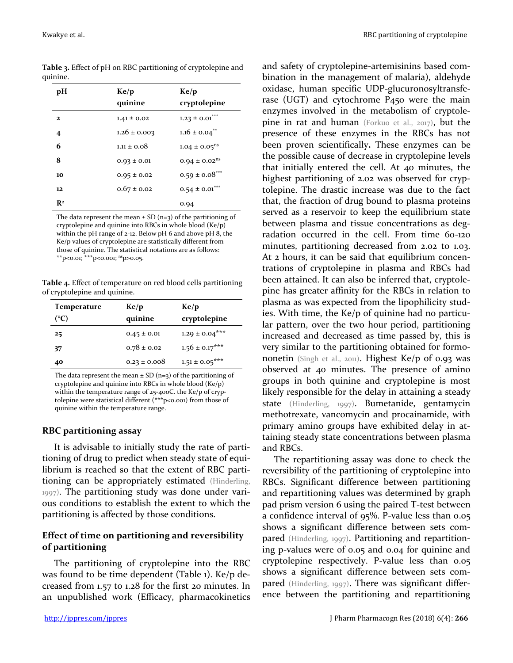quinine.

**pH Ke/p quinine Ke/p cryptolepine 2** 1.41  $\pm$  0.02 1.23  $\pm$  0.01<sup>\*\*\*</sup> **4** 1.26 ± 0.003 1.16 ± 0.04<sup>\*\*</sup> **6** 1.11  $\pm$  0.08 1.04  $\pm$  0.05<sup>ns</sup> **8** 0.93 ± 0.01 0.94 ± 0.02<sup>ns</sup> 10 0.95  $\pm$  0.02 0.59  $\pm$  0.08<sup>\*\*\*</sup> **12** 0.67 ± 0.02 0.54 ± 0.01<sup>\*\*\*</sup> **R<sup>2</sup>** 0.94

**Table 3.** Effect of pH on RBC partitioning of cryptolepine and

The data represent the mean  $\pm$  SD (n=3) of the partitioning of cryptolepine and quinine into RBCs in whole blood (Ke/p) within the pH range of 2-12. Below pH 6 and above pH 8, the Ke/p values of cryptolepine are statistically different from those of quinine. The statistical notations are as follows: \*\*p<0.01; \*\*\*p<0.001; nsp>0.05.

**Table 4.** Effect of temperature on red blood cells partitioning of cryptolepine and quinine.

| <b>Temperature</b> | Ke/p             | Ke/p                |
|--------------------|------------------|---------------------|
| $({}^{\circ}C)$    | quinine          | cryptolepine        |
| 25                 | $0.45 \pm 0.01$  | $1.29 \pm 0.04$ *** |
| 37                 | $0.78 \pm 0.02$  | $1.56 \pm 0.17***$  |
| 40                 | $0.23 \pm 0.008$ | $1.51 \pm 0.05***$  |
|                    |                  |                     |

The data represent the mean  $\pm$  SD (n=3) of the partitioning of cryptolepine and quinine into RBCs in whole blood (Ke/p) within the temperature range of 25-40oC. the Ke/p of cryptolepine were statistical different (\*\*\*p<0.001) from those of quinine within the temperature range.

# **RBC partitioning assay**

It is advisable to initially study the rate of partitioning of drug to predict when steady state of equilibrium is reached so that the extent of RBC partitioning can be appropriately estimated (Hinderling, 1997). The partitioning study was done under various conditions to establish the extent to which the partitioning is affected by those conditions.

# **Effect of time on partitioning and reversibility of partitioning**

The partitioning of cryptolepine into the RBC was found to be time dependent (Table 1). Ke/p decreased from 1.57 to 1.28 for the first 20 minutes. In an unpublished work (Efficacy, pharmacokinetics and safety of cryptolepine-artemisinins based combination in the management of malaria), aldehyde oxidase, human specific UDP-glucuronosyltransferase (UGT) and cytochrome P450 were the main enzymes involved in the metabolism of cryptolepine in rat and human (Forkuo et al., 2017), but the presence of these enzymes in the RBCs has not been proven scientifically**.** These enzymes can be the possible cause of decrease in cryptolepine levels that initially entered the cell. At 40 minutes, the highest partitioning of 2.02 was observed for cryptolepine. The drastic increase was due to the fact that, the fraction of drug bound to plasma proteins served as a reservoir to keep the equilibrium state between plasma and tissue concentrations as degradation occurred in the cell. From time 60-120 minutes, partitioning decreased from 2.02 to 1.03. At 2 hours, it can be said that equilibrium concentrations of cryptolepine in plasma and RBCs had been attained. It can also be inferred that, cryptolepine has greater affinity for the RBCs in relation to plasma as was expected from the lipophilicity studies. With time, the Ke/p of quinine had no particular pattern, over the two hour period, partitioning increased and decreased as time passed by, this is very similar to the partitioning obtained for formononetin (Singh et al., 2011). Highest Ke/p of 0.93 was observed at 40 minutes. The presence of amino groups in both quinine and cryptolepine is most likely responsible for the delay in attaining a steady state (Hinderling, 1997). Bumetanide, gentamycin methotrexate, vancomycin and procainamide, with primary amino groups have exhibited delay in attaining steady state concentrations between plasma and RBCs.

The repartitioning assay was done to check the reversibility of the partitioning of cryptolepine into RBCs. Significant difference between partitioning and repartitioning values was determined by graph pad prism version 6 using the paired T-test between a confidence interval of 95%. P-value less than 0.05 shows a significant difference between sets compared (Hinderling, 1997). Partitioning and repartitioning p-values were of 0.05 and 0.04 for quinine and cryptolepine respectively. P-value less than 0.05 shows a significant difference between sets compared (Hinderling, 1997). There was significant difference between the partitioning and repartitioning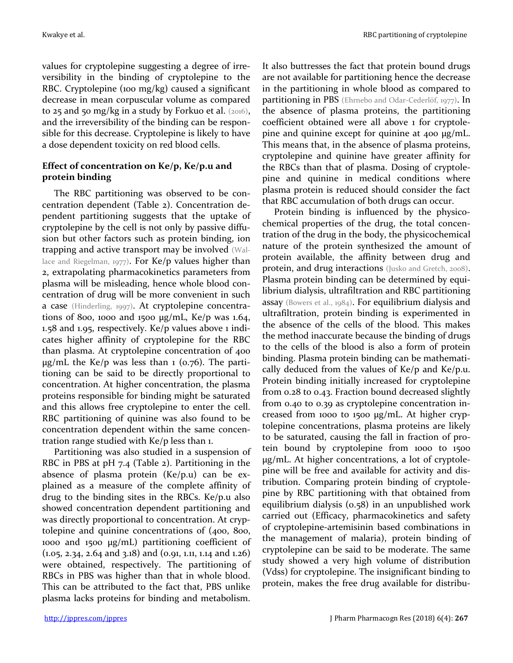values for cryptolepine suggesting a degree of irreversibility in the binding of cryptolepine to the RBC. Cryptolepine (100 mg/kg) caused a significant decrease in mean corpuscular volume as compared to 25 and 50 mg/kg in a study by Forkuo et al.  $(2016)$ , and the irreversibility of the binding can be responsible for this decrease. Cryptolepine is likely to have a dose dependent toxicity on red blood cells.

# **Effect of concentration on Ke/p, Ke/p.u and protein binding**

The RBC partitioning was observed to be concentration dependent (Table 2). Concentration dependent partitioning suggests that the uptake of cryptolepine by the cell is not only by passive diffusion but other factors such as protein binding, ion trapping and active transport may be involved (Wallace and Riegelman, 1977). For Ke/p values higher than 2, extrapolating pharmacokinetics parameters from plasma will be misleading, hence whole blood concentration of drug will be more convenient in such a case (Hinderling, 1997). At cryptolepine concentrations of 800, 1000 and 1500  $\mu$ g/mL, Ke/p was 1.64, 1.58 and 1.95, respectively. Ke/p values above 1 indicates higher affinity of cryptolepine for the RBC than plasma. At cryptolepine concentration of 400  $\mu$ g/mL the Ke/p was less than 1 (0.76). The partitioning can be said to be directly proportional to concentration. At higher concentration, the plasma proteins responsible for binding might be saturated and this allows free cryptolepine to enter the cell. RBC partitioning of quinine was also found to be concentration dependent within the same concentration range studied with Ke/p less than 1.

Partitioning was also studied in a suspension of RBC in PBS at pH 7.4 (Table 2). Partitioning in the absence of plasma protein (Ke/p.u) can be explained as a measure of the complete affinity of drug to the binding sites in the RBCs. Ke/p.u also showed concentration dependent partitioning and was directly proportional to concentration. At cryptolepine and quinine concentrations of (400, 800, 1000 and 1500 µg/mL) partitioning coefficient of  $(1.05, 2.34, 2.64 \text{ and } 3.18)$  and  $(0.91, 1.11, 1.14 \text{ and } 1.26)$ were obtained, respectively. The partitioning of RBCs in PBS was higher than that in whole blood. This can be attributed to the fact that, PBS unlike plasma lacks proteins for binding and metabolism.

It also buttresses the fact that protein bound drugs are not available for partitioning hence the decrease in the partitioning in whole blood as compared to partitioning in PBS (Ehrnebo and Odar-Cederlöf, 1977). In the absence of plasma proteins, the partitioning coefficient obtained were all above 1 for cryptolepine and quinine except for quinine at 400 µg/mL. This means that, in the absence of plasma proteins, cryptolepine and quinine have greater affinity for the RBCs than that of plasma. Dosing of cryptolepine and quinine in medical conditions where plasma protein is reduced should consider the fact that RBC accumulation of both drugs can occur.

Protein binding is influenced by the physicochemical properties of the drug, the total concentration of the drug in the body, the physicochemical nature of the protein synthesized the amount of protein available, the affinity between drug and protein, and drug interactions (Jusko and Gretch, 2008). Plasma protein binding can be determined by equilibrium dialysis, ultrafiltration and RBC partitioning assay (Bowers et al., 1984). For equilibrium dialysis and ultrafiltration, protein binding is experimented in the absence of the cells of the blood. This makes the method inaccurate because the binding of drugs to the cells of the blood is also a form of protein binding. Plasma protein binding can be mathematically deduced from the values of Ke/p and Ke/p.u. Protein binding initially increased for cryptolepine from 0.28 to 0.43. Fraction bound decreased slightly from 0.40 to 0.39 as cryptolepine concentration increased from 1000 to 1500 µg/mL. At higher cryptolepine concentrations, plasma proteins are likely to be saturated, causing the fall in fraction of protein bound by cryptolepine from 1000 to 1500 µg/mL. At higher concentrations, a lot of cryptolepine will be free and available for activity and distribution. Comparing protein binding of cryptolepine by RBC partitioning with that obtained from equilibrium dialysis (0.58) in an unpublished work carried out (Efficacy, pharmacokinetics and safety of cryptolepine-artemisinin based combinations in the management of malaria), protein binding of cryptolepine can be said to be moderate. The same study showed a very high volume of distribution (Vdss) for cryptolepine. The insignificant binding to protein, makes the free drug available for distribu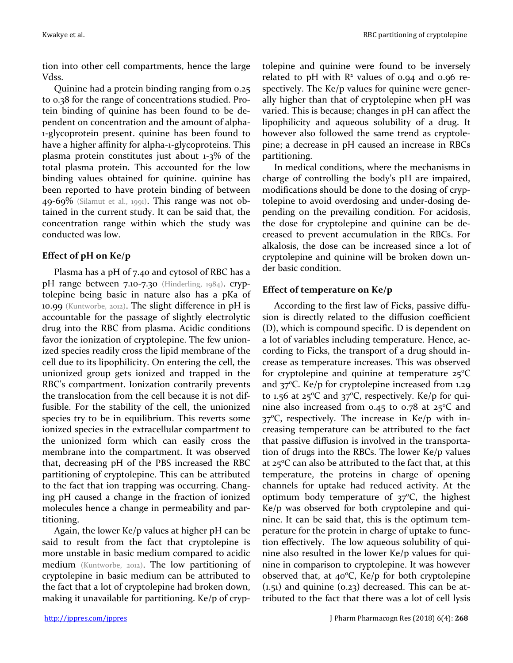tion into other cell compartments, hence the large Vdss.

Quinine had a protein binding ranging from 0.25 to 0.38 for the range of concentrations studied. Protein binding of quinine has been found to be dependent on concentration and the amount of alpha-1-glycoprotein present. quinine has been found to have a higher affinity for alpha-1-glycoproteins. This plasma protein constitutes just about 1-3% of the total plasma protein. This accounted for the low binding values obtained for quinine. quinine has been reported to have protein binding of between 49-69% (Silamut et al., 1991). This range was not obtained in the current study. It can be said that, the concentration range within which the study was conducted was low.

# **Effect of pH on Ke/p**

Plasma has a pH of 7.40 and cytosol of RBC has a pH range between 7.10-7.30 (Hinderling, 1984). cryptolepine being basic in nature also has a pKa of 10.99 (Kuntworbe, 2012). The slight difference in pH is accountable for the passage of slightly electrolytic drug into the RBC from plasma. Acidic conditions favor the ionization of cryptolepine. The few unionized species readily cross the lipid membrane of the cell due to its lipophilicity. On entering the cell, the unionized group gets ionized and trapped in the RBC's compartment. Ionization contrarily prevents the translocation from the cell because it is not diffusible. For the stability of the cell, the unionized species try to be in equilibrium. This reverts some ionized species in the extracellular compartment to the unionized form which can easily cross the membrane into the compartment. It was observed that, decreasing pH of the PBS increased the RBC partitioning of cryptolepine. This can be attributed to the fact that ion trapping was occurring. Changing pH caused a change in the fraction of ionized molecules hence a change in permeability and partitioning.

Again, the lower Ke/p values at higher pH can be said to result from the fact that cryptolepine is more unstable in basic medium compared to acidic medium (Kuntworbe, 2012). The low partitioning of cryptolepine in basic medium can be attributed to the fact that a lot of cryptolepine had broken down, making it unavailable for partitioning. Ke/p of cryptolepine and quinine were found to be inversely related to pH with  $\mathbb{R}^2$  values of 0.94 and 0.96 respectively. The Ke/p values for quinine were generally higher than that of cryptolepine when pH was varied. This is because; changes in pH can affect the lipophilicity and aqueous solubility of a drug. It however also followed the same trend as cryptolepine; a decrease in pH caused an increase in RBCs partitioning.

In medical conditions, where the mechanisms in charge of controlling the body's pH are impaired, modifications should be done to the dosing of cryptolepine to avoid overdosing and under-dosing depending on the prevailing condition. For acidosis, the dose for cryptolepine and quinine can be decreased to prevent accumulation in the RBCs. For alkalosis, the dose can be increased since a lot of cryptolepine and quinine will be broken down under basic condition.

# **Effect of temperature on Ke/p**

According to the first law of Ficks, passive diffusion is directly related to the diffusion coefficient (D), which is compound specific. D is dependent on a lot of variables including temperature. Hence, according to Ficks, the transport of a drug should increase as temperature increases. This was observed for cryptolepine and quinine at temperature  $25^{\circ}$ C and  $37^{\circ}$ C. Ke/p for cryptolepine increased from 1.29 to 1.56 at  $25^{\circ}$ C and  $37^{\circ}$ C, respectively. Ke/p for quinine also increased from 0.45 to 0.78 at  $25^{\circ}$ C and  $37^{\circ}$ C, respectively. The increase in Ke/p with increasing temperature can be attributed to the fact that passive diffusion is involved in the transportation of drugs into the RBCs. The lower Ke/p values at  $25^{\circ}$ C can also be attributed to the fact that, at this temperature, the proteins in charge of opening channels for uptake had reduced activity. At the optimum body temperature of  $37^{\circ}$ C, the highest Ke/p was observed for both cryptolepine and quinine. It can be said that, this is the optimum temperature for the protein in charge of uptake to function effectively. The low aqueous solubility of quinine also resulted in the lower Ke/p values for quinine in comparison to cryptolepine. It was however observed that, at  $40^{\circ}$ C, Ke/p for both cryptolepine  $(1.51)$  and quinine  $(0.23)$  decreased. This can be attributed to the fact that there was a lot of cell lysis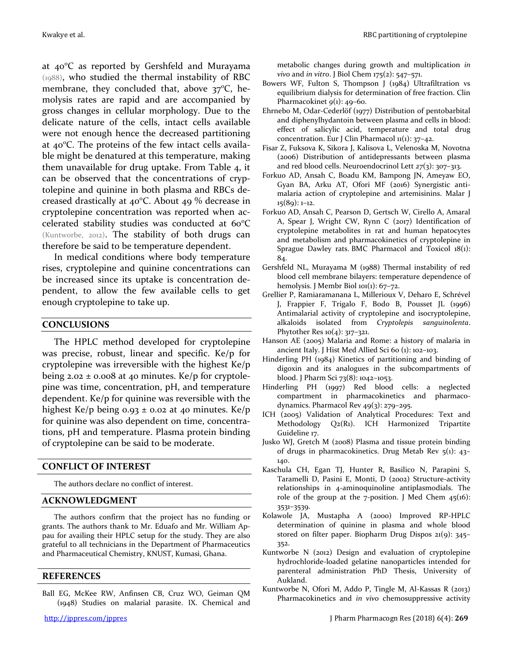at  $40^{\circ}$ C as reported by Gershfeld and Murayama (1988), who studied the thermal instability of RBC membrane, they concluded that, above  $37^{\circ}$ C, hemolysis rates are rapid and are accompanied by gross changes in cellular morphology. Due to the delicate nature of the cells, intact cells available were not enough hence the decreased partitioning at  $40^{\circ}$ C. The proteins of the few intact cells available might be denatured at this temperature, making them unavailable for drug uptake. From Table 4, it can be observed that the concentrations of cryptolepine and quinine in both plasma and RBCs decreased drastically at  $40^{\circ}$ C. About  $49\%$  decrease in cryptolepine concentration was reported when accelerated stability studies was conducted at  $60^{\circ}$ C (Kuntworbe, 2012). The stability of both drugs can therefore be said to be temperature dependent.

In medical conditions where body temperature rises, cryptolepine and quinine concentrations can be increased since its uptake is concentration dependent, to allow the few available cells to get enough cryptolepine to take up.

#### **CONCLUSIONS**

The HPLC method developed for cryptolepine was precise, robust, linear and specific. Ke/p for cryptolepine was irreversible with the highest Ke/p being  $2.02 \pm 0.008$  at 40 minutes. Ke/p for cryptolepine was time, concentration, pH, and temperature dependent. Ke/p for quinine was reversible with the highest Ke/p being  $0.93 \pm 0.02$  at 40 minutes. Ke/p for quinine was also dependent on time, concentrations, pH and temperature. Plasma protein binding of cryptolepine can be said to be moderate.

#### **CONFLICT OF INTEREST**

The authors declare no conflict of interest.

#### **ACKNOWLEDGMENT**

The authors confirm that the project has no funding or grants. The authors thank to Mr. Eduafo and Mr. William Appau for availing their HPLC setup for the study. They are also grateful to all technicians in the Department of Pharmaceutics and Pharmaceutical Chemistry, KNUST, Kumasi, Ghana.

#### **REFERENCES**

Ball EG, McKee RW, Anfinsen CB, Cruz WO, Geiman QM (1948) Studies on malarial parasite. IX. Chemical and metabolic changes during growth and multiplication *in vivo* and *in vitro*. J Biol Chem 175(2): 547–571.

- Bowers WF, Fulton S, Thompson J (1984) Ultrafiltration vs equilibrium dialysis for determination of free fraction. Clin Pharmacokinet *9*(1): 49-60.
- Ehrnebo M, Odar-Cederlöf (1977) Distribution of pentobarbital and diphenylhydantoin between plasma and cells in blood: effect of salicylic acid, temperature and total drug concentration. Eur J Clin Pharmacol  $u(1)$ : 37-42.
- Fisar Z, Fuksova K, Sikora J, Kalisova L, Velenoska M, Novotna (2006) Distribution of antidepressants between plasma and red blood cells. Neuroendocrinol Lett *27*(3): 307–313.
- Forkuo AD, Ansah C, Boadu KM, Bampong JN, Ameyaw EO, Gyan BA, Arku AT, Ofori MF (2016) Synergistic antimalaria action of cryptolepine and artemisinins. Malar J 15(89): 1–12.
- Forkuo AD, Ansah C, Pearson D, Gertsch W, Cirello A, Amaral A, Spear J, Wright CW, Rynn C (2017) Identification of cryptolepine metabolites in rat and human hepatocytes and metabolism and pharmacokinetics of cryptolepine in Sprague Dawley rats. BMC Pharmacol and Toxicol 18(1): 84.
- Gershfeld NL, Murayama M (1988) Thermal instability of red blood cell membrane bilayers: temperature dependence of hemolysis. J Membr Biol 101(1): 67-72.
- Grellier P, Ramiaramanana L, Millerioux V, Deharo E, Schrével J, Frappier F, Trigalo F, Bodo B, Pousset JL (1996) Antimalarial activity of cryptolepine and isocryptolepine, alkaloids isolated from *Cryptolepis sanguinolenta*. Phytother Res  $10(4)$ : 317-321.
- Hanson AE (2005) Malaria and Rome: a history of malaria in ancient Italy. J Hist Med Allied Sci 60 (1): 102–103.
- Hinderling PH (1984) Kinetics of partitioning and binding of digoxin and its analogues in the subcompartments of blood. J Pharm Sci 73(8): 1042–1053.
- Hinderling PH (1997) Red blood cells: a neglected compartment in pharmacokinetics and pharmacodynamics. Pharmacol Rev 49(3): 279–295.
- ICH (2005) Validation of Analytical Procedures: Text and Methodology Q2(R1). ICH Harmonized Tripartite Guideline 17.
- Jusko WJ, Gretch M (2008) Plasma and tissue protein binding of drugs in pharmacokinetics. Drug Metab Rev 5(1): 43– 140.
- Kaschula CH, Egan TJ, Hunter R, Basilico N, Parapini S, Taramelli D, Pasini E, Monti, D (2002) Structure-activity relationships in 4-aminoquinoline antiplasmodials. The role of the group at the  $7$ -position. J Med Chem  $45(16)$ : 3531–3539.
- Kolawole JA, Mustapha A (2000) Improved RP-HPLC determination of quinine in plasma and whole blood stored on filter paper. Biopharm Drug Dispos 21(9): 345– 352.
- Kuntworbe N (2012) Design and evaluation of cryptolepine hydrochloride-loaded gelatine nanoparticles intended for parenteral administration PhD Thesis, University of Aukland.
- Kuntworbe N, Ofori M, Addo P, Tingle M, Al-Kassas R (2013) Pharmacokinetics and *in vivo* chemosuppressive activity